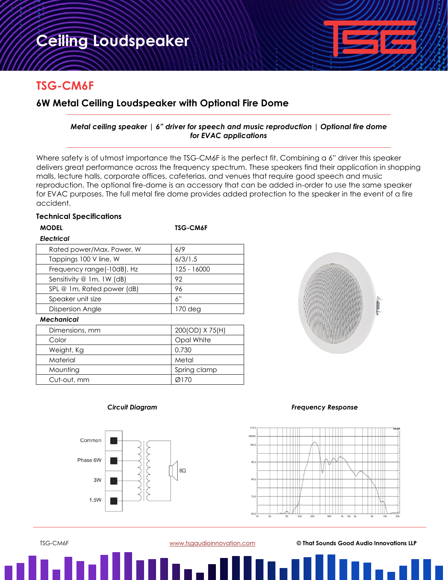# **TSG-CM6F**

# **6W Metal Ceiling Loudspeaker with Optional Fire Dome**

# *Metal ceiling speaker | 6" driver for speech and music reproduction | Optional fire dome for EVAC applications*

Where safety is of utmost importance the TSG-CM6F is the perfect fit. Combining a 6" driver this speaker delivers great performance across the frequency spectrum. These speakers find their application in shopping malls, lecture halls, corporate offices, cafeterias, and venues that require good speech and music reproduction. The optional fire-dome is an accessory that can be added in-order to use the same speaker for EVAC purposes. The full metal fire dome provides added protection to the speaker in the event of a fire accident.

## **Technical Specifications**

#### **MODEL TSG-CM6F**

| <b>Electrical</b>          |             |
|----------------------------|-------------|
| Rated power/Max. Power, W  | 6/9         |
| Tappings 100 V line, W     | 6/3/1.5     |
| Frequency range(-10dB), Hz | 125 - 16000 |
| Sensitivity @ 1m, 1W (dB)  | 92          |
| SPL @ 1m, Rated power (dB) | 96          |
| Speaker unit size          | 6"          |
| <b>Dispersion Angle</b>    | $170$ deg   |
| .                          |             |

### *Mechanical*

| Dimensions, mm | 200(OD) X 75(H) |
|----------------|-----------------|
| Color          | Opal White      |
| Weight, Kg     | 0.730           |
| Material       | Metal           |
| Mounting       | Spring clamp    |
| Cut-out, mm    | Ø170            |





## *Circuit Diagram Frequency Response*



TSG-CM6F [www.tsgaudioinnovation.com](http://www.tsgaudioinnovation.com/) **© That Sounds Good Audio Innovations LLP**